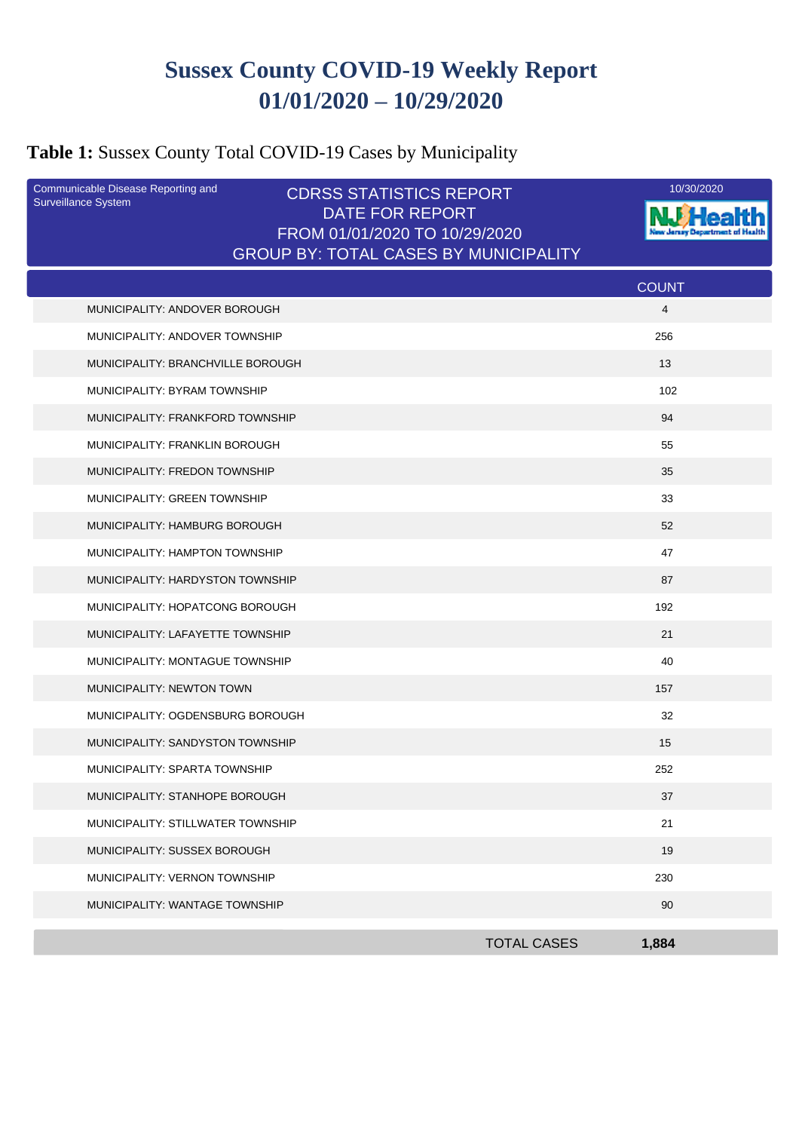# **Sussex County COVID-19 Weekly Report 01/01/2020 – 10/29/2020**

# **Table 1:** Sussex County Total COVID-19 Cases by Municipality

| Communicable Disease Reporting and<br><b>Surveillance System</b> | <b>CDRSS STATISTICS REPORT</b>                   | 10/30/2020   |
|------------------------------------------------------------------|--------------------------------------------------|--------------|
|                                                                  | DATE FOR REPORT<br>FROM 01/01/2020 TO 10/29/2020 |              |
|                                                                  | <b>GROUP BY: TOTAL CASES BY MUNICIPALITY</b>     |              |
|                                                                  |                                                  | <b>COUNT</b> |
| MUNICIPALITY: ANDOVER BOROUGH                                    |                                                  | 4            |
| MUNICIPALITY: ANDOVER TOWNSHIP                                   |                                                  | 256          |
| MUNICIPALITY: BRANCHVILLE BOROUGH                                |                                                  | 13           |
| MUNICIPALITY: BYRAM TOWNSHIP                                     |                                                  | 102          |
| MUNICIPALITY: FRANKFORD TOWNSHIP                                 |                                                  | 94           |
| MUNICIPALITY: FRANKLIN BOROUGH                                   |                                                  | 55           |
| MUNICIPALITY: FREDON TOWNSHIP                                    |                                                  | 35           |
| MUNICIPALITY: GREEN TOWNSHIP                                     |                                                  | 33           |
| MUNICIPALITY: HAMBURG BOROUGH                                    |                                                  | 52           |
| MUNICIPALITY: HAMPTON TOWNSHIP                                   |                                                  | 47           |
| MUNICIPALITY: HARDYSTON TOWNSHIP                                 |                                                  | 87           |
| MUNICIPALITY: HOPATCONG BOROUGH                                  |                                                  | 192          |
| MUNICIPALITY: LAFAYETTE TOWNSHIP                                 |                                                  | 21           |
| MUNICIPALITY: MONTAGUE TOWNSHIP                                  |                                                  | 40           |
| MUNICIPALITY: NEWTON TOWN                                        |                                                  | 157          |
| MUNICIPALITY: OGDENSBURG BOROUGH                                 |                                                  | 32           |
| MUNICIPALITY: SANDYSTON TOWNSHIP                                 |                                                  | 15           |
| MUNICIPALITY: SPARTA TOWNSHIP                                    |                                                  | 252          |
| MUNICIPALITY: STANHOPE BOROUGH                                   |                                                  | 37           |
| MUNICIPALITY: STILLWATER TOWNSHIP                                |                                                  | 21           |
| MUNICIPALITY: SUSSEX BOROUGH                                     |                                                  | 19           |
| MUNICIPALITY: VERNON TOWNSHIP                                    |                                                  | 230          |
| MUNICIPALITY: WANTAGE TOWNSHIP                                   |                                                  | 90           |
|                                                                  | <b>TOTAL CASES</b>                               | 1,884        |
|                                                                  |                                                  |              |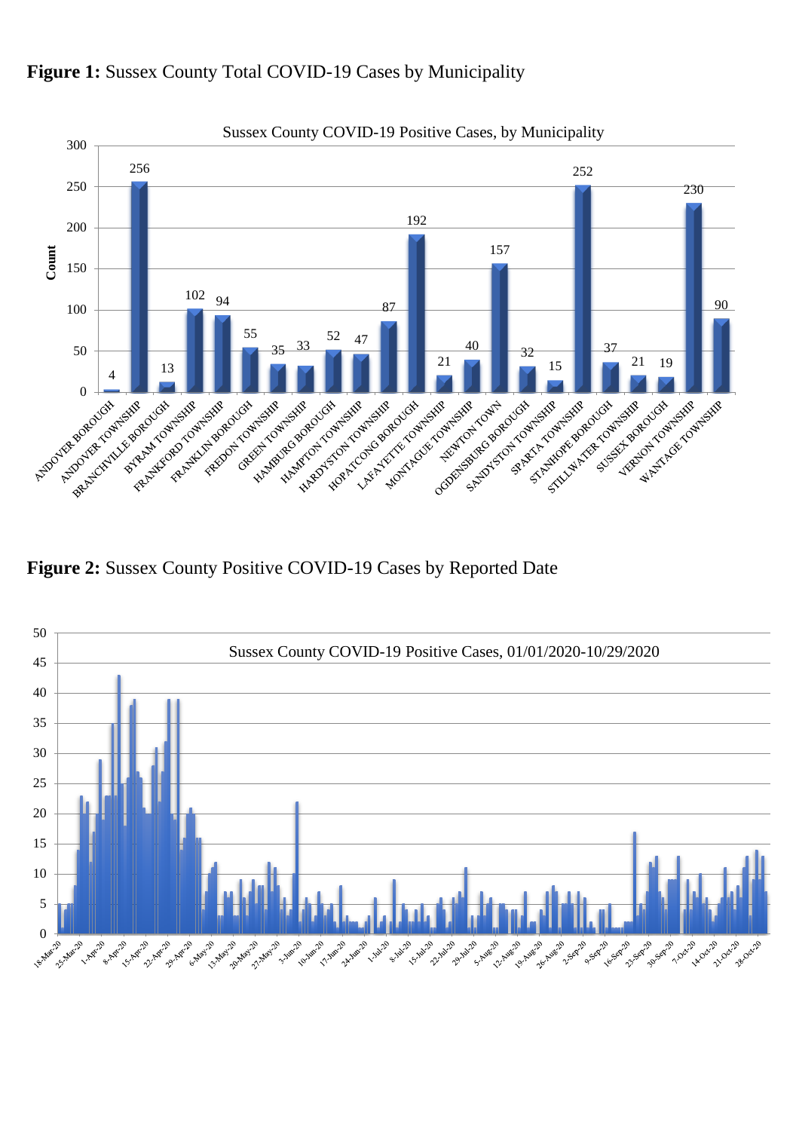

Figure 1: Sussex County Total COVID-19 Cases by Municipality

**Figure 2:** Sussex County Positive COVID-19 Cases by Reported Date

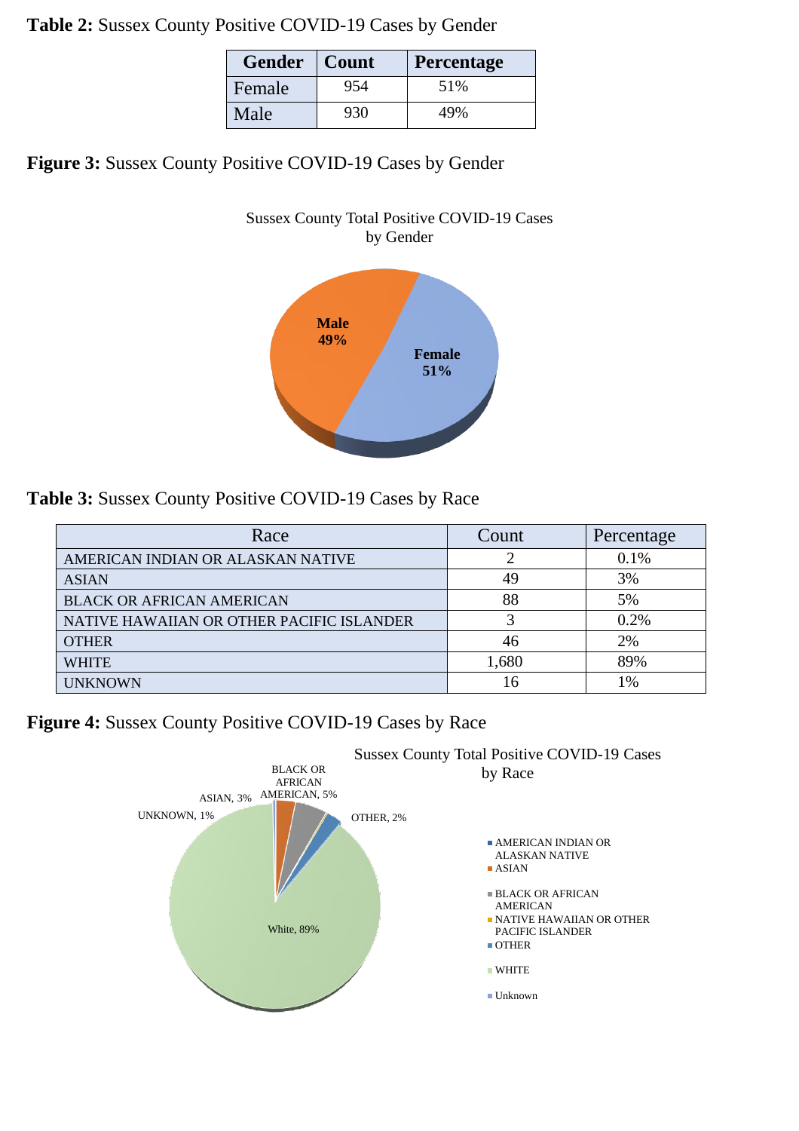**Table 2:** Sussex County Positive COVID-19 Cases by Gender

| <b>Gender</b> | Count | Percentage |
|---------------|-------|------------|
| Female        | 954   | 51%        |
| Male          | 930   | 49%        |

**Figure 3:** Sussex County Positive COVID-19 Cases by Gender

#### Sussex County Total Positive COVID-19 Cases by Gender



**Table 3:** Sussex County Positive COVID-19 Cases by Race

| Race                                      | Count | Percentage |
|-------------------------------------------|-------|------------|
| AMERICAN INDIAN OR ALASKAN NATIVE         |       | $0.1\%$    |
| <b>ASIAN</b>                              | 49    | 3%         |
| <b>BLACK OR AFRICAN AMERICAN</b>          | 88    | 5%         |
| NATIVE HAWAIIAN OR OTHER PACIFIC ISLANDER |       | 0.2%       |
| <b>OTHER</b>                              | 46    | 2%         |
| <b>WHITE</b>                              | 1,680 | 89%        |
| <b>UNKNOWN</b>                            | 16    | 1%         |

**Figure 4:** Sussex County Positive COVID-19 Cases by Race

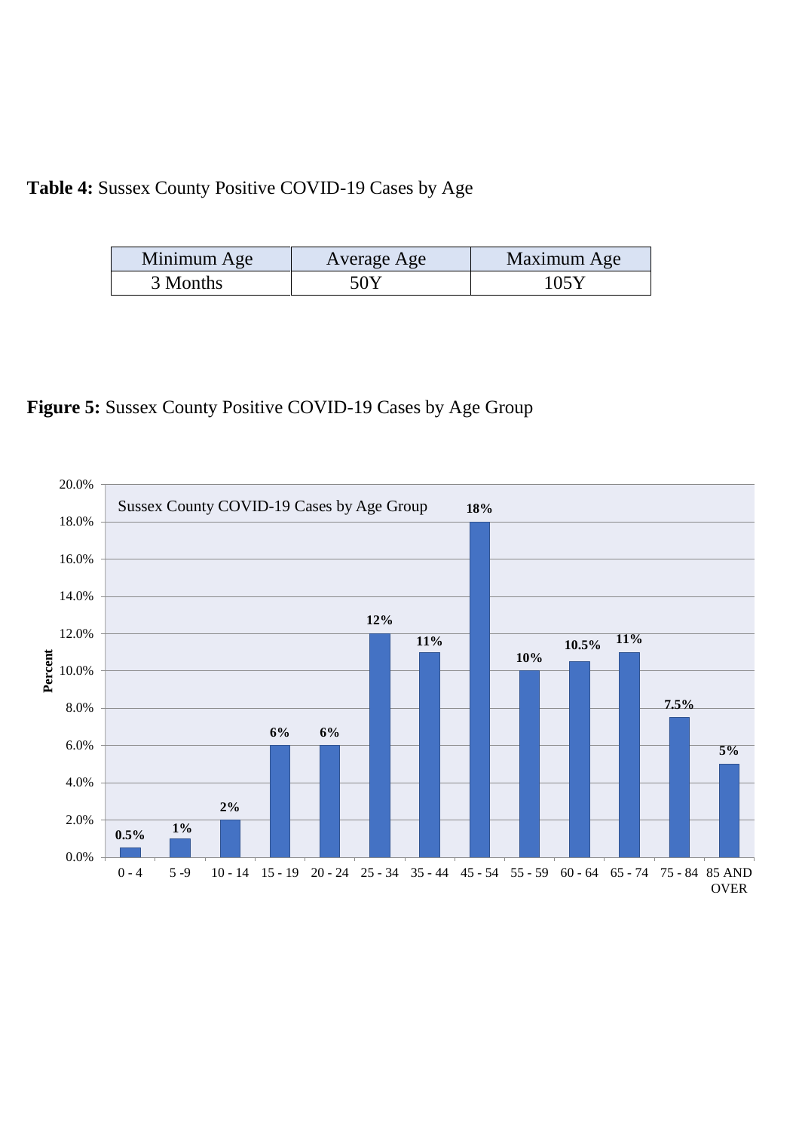### **Table 4:** Sussex County Positive COVID-19 Cases by Age

| Minimum Age | Average Age | Maximum Age |
|-------------|-------------|-------------|
| 3 Months    | 50Y         | 1058        |

**Figure 5:** Sussex County Positive COVID-19 Cases by Age Group

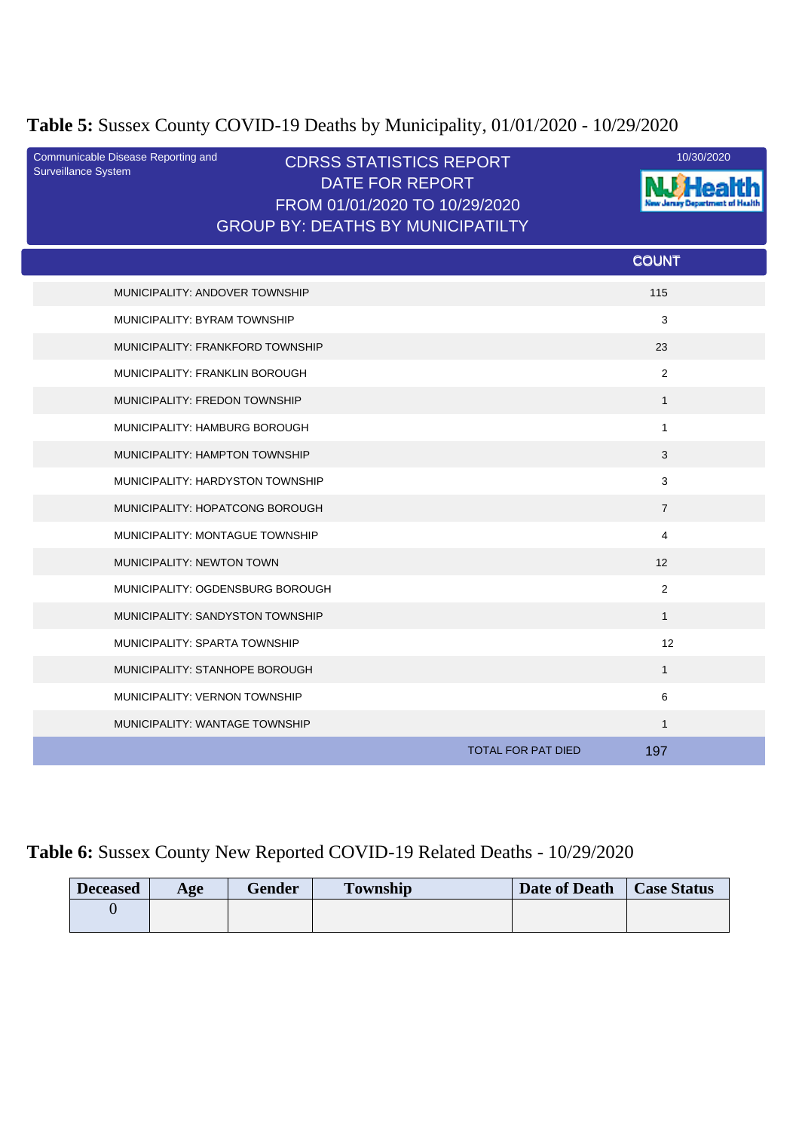### **Table 5:** Sussex County COVID-19 Deaths by Municipality, 01/01/2020 - 10/29/2020

| Communicable Disease Reporting and<br>Surveillance System | <b>CDRSS STATISTICS REPORT</b><br><b>DATE FOR REPORT</b><br>FROM 01/01/2020 TO 10/29/2020<br><b>GROUP BY: DEATHS BY MUNICIPATILTY</b> | 10/30/2020                       |  |
|-----------------------------------------------------------|---------------------------------------------------------------------------------------------------------------------------------------|----------------------------------|--|
|                                                           |                                                                                                                                       | <b>COUNT</b>                     |  |
| MUNICIPALITY: ANDOVER TOWNSHIP                            |                                                                                                                                       | 115                              |  |
| MUNICIPALITY: BYRAM TOWNSHIP                              |                                                                                                                                       | 3                                |  |
| MUNICIPALITY: FRANKFORD TOWNSHIP                          |                                                                                                                                       | 23                               |  |
| MUNICIPALITY: FRANKLIN BOROUGH                            |                                                                                                                                       | $\overline{2}$                   |  |
| MUNICIPALITY: FREDON TOWNSHIP                             |                                                                                                                                       | $\mathbf{1}$                     |  |
| MUNICIPALITY: HAMBURG BOROUGH                             |                                                                                                                                       | $\mathbf{1}$                     |  |
| MUNICIPALITY: HAMPTON TOWNSHIP                            |                                                                                                                                       | 3                                |  |
| MUNICIPALITY: HARDYSTON TOWNSHIP                          |                                                                                                                                       | 3                                |  |
| MUNICIPALITY: HOPATCONG BOROUGH                           |                                                                                                                                       | $\overline{7}$                   |  |
| MUNICIPALITY: MONTAGUE TOWNSHIP                           |                                                                                                                                       | 4                                |  |
| MUNICIPALITY: NEWTON TOWN                                 |                                                                                                                                       | 12                               |  |
| MUNICIPALITY: OGDENSBURG BOROUGH                          |                                                                                                                                       | $\overline{2}$                   |  |
| MUNICIPALITY: SANDYSTON TOWNSHIP                          |                                                                                                                                       | $\mathbf{1}$                     |  |
| MUNICIPALITY: SPARTA TOWNSHIP                             |                                                                                                                                       | 12                               |  |
| MUNICIPALITY: STANHOPE BOROUGH                            |                                                                                                                                       | $\mathbf{1}$                     |  |
| MUNICIPALITY: VERNON TOWNSHIP                             |                                                                                                                                       | 6                                |  |
| <b>MUNICIPALITY: WANTAGE TOWNSHIP</b>                     |                                                                                                                                       | $\mathbf{1}$                     |  |
|                                                           |                                                                                                                                       | <b>TOTAL FOR PAT DIED</b><br>197 |  |

# **Table 6:** Sussex County New Reported COVID-19 Related Deaths - 10/29/2020

| <b>Deceased</b> | Age | Gender | <b>Township</b> | Date of Death | <b>Case Status</b> |
|-----------------|-----|--------|-----------------|---------------|--------------------|
|                 |     |        |                 |               |                    |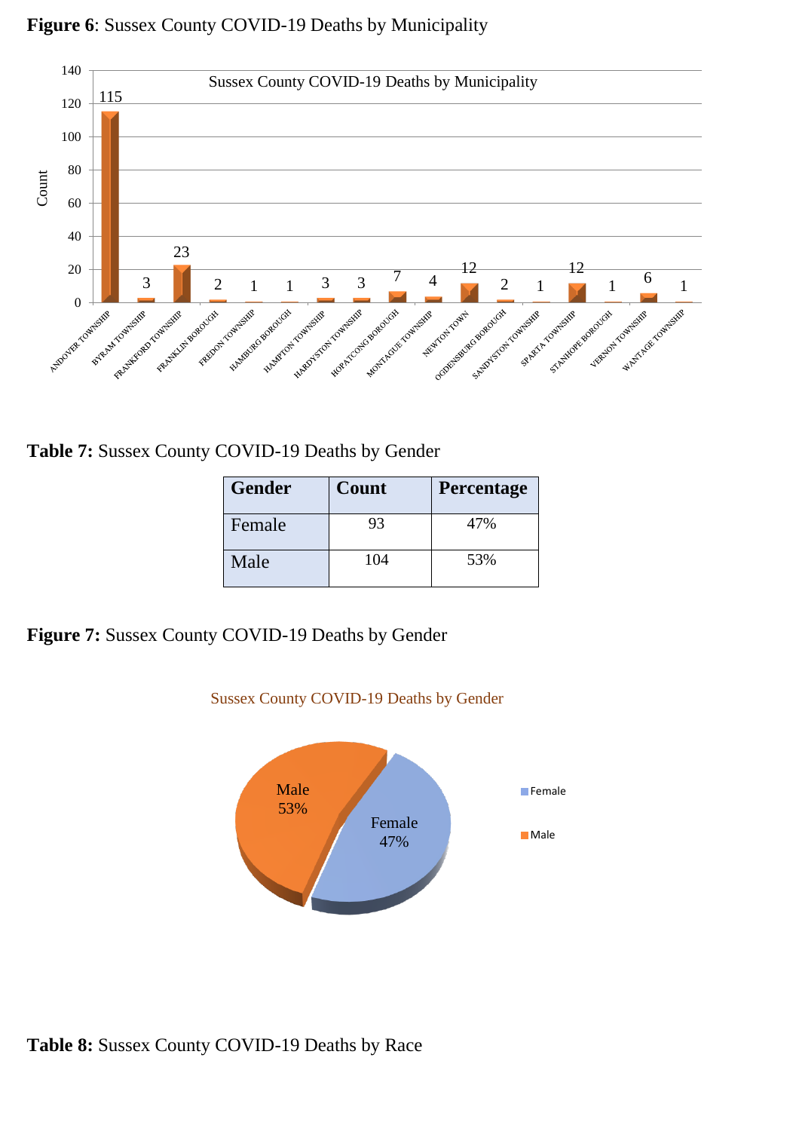

#### **Figure 6**: Sussex County COVID-19 Deaths by Municipality

**Table 7:** Sussex County COVID-19 Deaths by Gender

| <b>Gender</b> | Count | Percentage |
|---------------|-------|------------|
| Female        | 93    | 47%        |
| Male          | 104   | 53%        |

**Figure 7:** Sussex County COVID-19 Deaths by Gender



Sussex County COVID-19 Deaths by Gender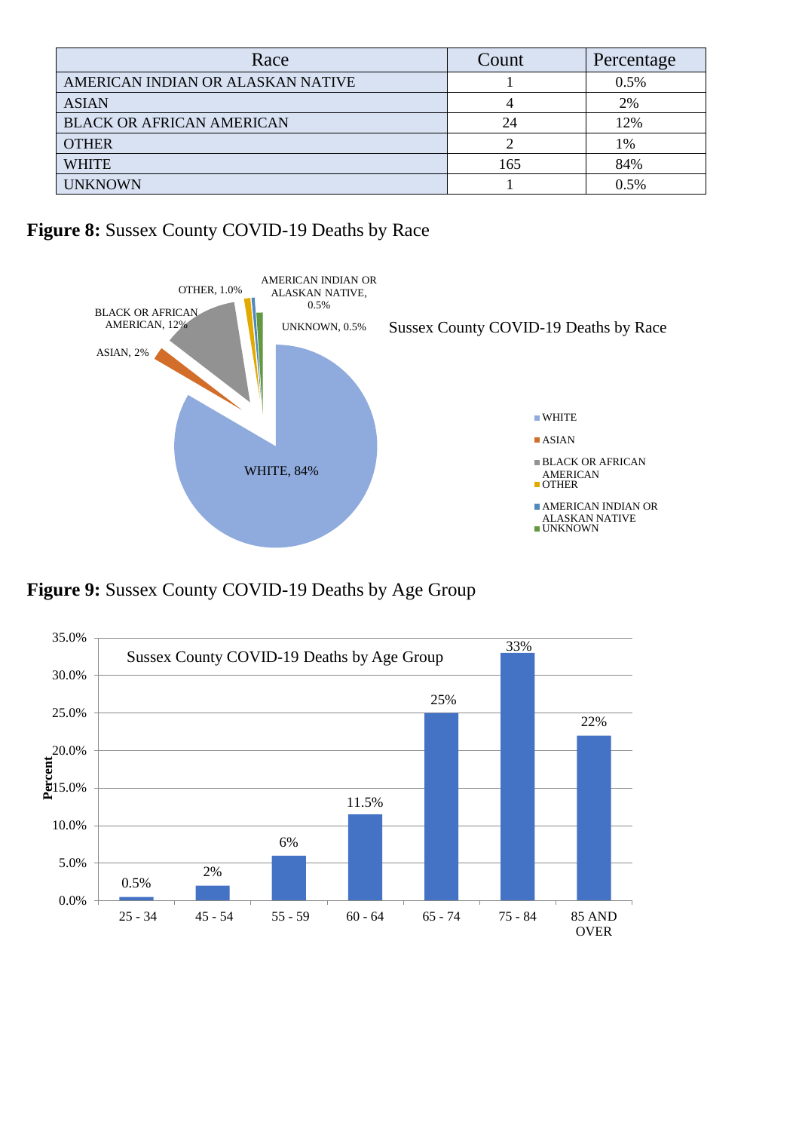| Race                              | Count | Percentage |
|-----------------------------------|-------|------------|
| AMERICAN INDIAN OR ALASKAN NATIVE |       | 0.5%       |
| <b>ASIAN</b>                      |       | 2%         |
| <b>BLACK OR AFRICAN AMERICAN</b>  | 24    | 12%        |
| <b>OTHER</b>                      |       | 1%         |
| <b>WHITE</b>                      | 165   | 84%        |
| <b>UNKNOWN</b>                    |       | 0.5%       |

# **Figure 8:** Sussex County COVID-19 Deaths by Race



**Figure 9:** Sussex County COVID-19 Deaths by Age Group